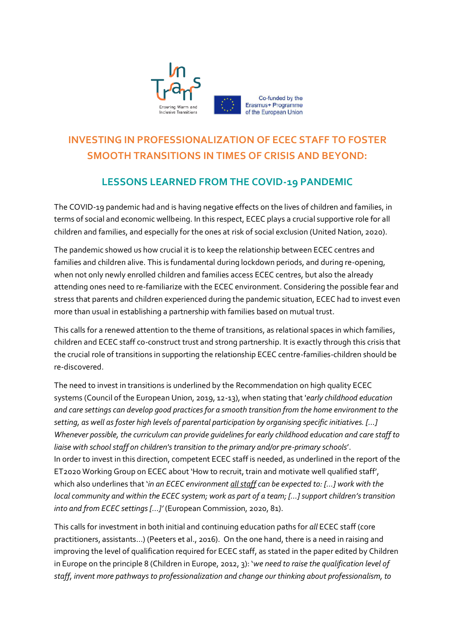

# **INVESTING IN PROFESSIONALIZATION OF ECEC STAFF TO FOSTER SMOOTH TRANSITIONS IN TIMES OF CRISIS AND BEYOND:**

## **LESSONS LEARNED FROM THE COVID-19 PANDEMIC**

The COVID-19 pandemic had and is having negative effects on the lives of children and families, in terms of social and economic wellbeing. In this respect, ECEC plays a crucial supportive role for all children and families, and especially for the ones at risk of social exclusion (United Nation, 2020).

The pandemic showed us how crucial it is to keep the relationship between ECEC centres and families and children alive. This is fundamental during lockdown periods, and during re-opening, when not only newly enrolled children and families access ECEC centres, but also the already attending ones need to re-familiarize with the ECEC environment. Considering the possible fear and stress that parents and children experienced during the pandemic situation, ECEC had to invest even more than usual in establishing a partnership with families based on mutual trust.

This calls for a renewed attention to the theme of transitions, as relational spaces in which families, children and ECEC staff co-construct trust and strong partnership. It is exactly through this crisis that the crucial role of transitions in supporting the relationship ECEC centre-families-children should be re-discovered.

The need to invest in transitions is underlined by the Recommendation on high quality ECEC systems (Council of the European Union, 2019, 12-13), when stating that '*early childhood education and care settings can develop good practices for a smooth transition from the home environment to the setting, as well as foster high levels of parental participation by organising specific initiatives. […] Whenever possible, the curriculum can provide guidelines for early childhood education and care staff to liaise with school staff on children's transition to the primary and/or pre-primary schools*'. In order to invest in this direction, competent ECEC staff is needed, as underlined in the report of the ET2020 Working Group on ECEC about 'How to recruit, train and motivate well qualified staff', which also underlines that '*in an ECEC environment all staff can be expected to: […] work with the local community and within the ECEC system; work as part of a team; […] support children's transition into and from ECEC settings […]'* (European Commission, 2020, 81).

This calls for investment in both initial and continuing education paths for *all* ECEC staff (core practitioners, assistants…) (Peeters et al., 2016). On the one hand, there is a need in raising and improving the level of qualification required for ECEC staff, as stated in the paper edited by Children in Europe on the principle 8 (Children in Europe, 2012, 3): '*we need to raise the qualification level of staff, invent more pathways to professionalization and change our thinking about professionalism, to*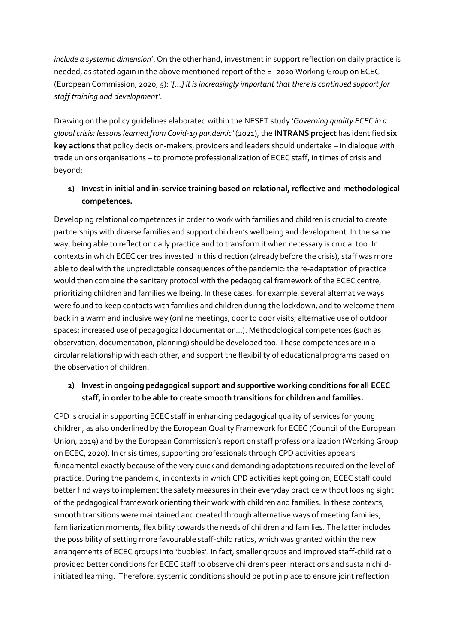*include a systemic dimension*'. On the other hand, investment in support reflection on daily practice is needed, as stated again in the above mentioned report of the ET2020 Working Group on ECEC (European Commission, 2020, 5): *'[…] it is increasingly important that there is continued support for staff training and development'*.

Drawing on the policy guidelines elaborated within the NESET study '*Governing quality ECEC in a global crisis: lessons learned from Covid-19 pandemic'* (2021), the **INTRANS project** has identified **six key actions** that policy decision-makers, providers and leaders should undertake – in dialogue with trade unions organisations – to promote professionalization of ECEC staff, in times of crisis and beyond:

### **1) Invest in initial and in-service training based on relational, reflective and methodological competences.**

Developing relational competences in order to work with families and children is crucial to create partnerships with diverse families and support children's wellbeing and development. In the same way, being able to reflect on daily practice and to transform it when necessary is crucial too. In contexts in which ECEC centres invested in this direction (already before the crisis), staff was more able to deal with the unpredictable consequences of the pandemic: the re-adaptation of practice would then combine the sanitary protocol with the pedagogical framework of the ECEC centre, prioritizing children and families wellbeing. In these cases, for example, several alternative ways were found to keep contacts with families and children during the lockdown, and to welcome them back in a warm and inclusive way (online meetings; door to door visits; alternative use of outdoor spaces; increased use of pedagogical documentation…). Methodological competences (such as observation, documentation, planning) should be developed too. These competences are in a circular relationship with each other, and support the flexibility of educational programs based on the observation of children.

### **2) Invest in ongoing pedagogical support and supportive working conditions for all ECEC staff, in order to be able to create smooth transitions for children and families.**

CPD is crucial in supporting ECEC staff in enhancing pedagogical quality of services for young children, as also underlined by the European Quality Framework for ECEC (Council of the European Union, 2019) and by the European Commission's report on staff professionalization (Working Group on ECEC, 2020). In crisis times, supporting professionals through CPD activities appears fundamental exactly because of the very quick and demanding adaptations required on the level of practice. During the pandemic, in contexts in which CPD activities kept going on, ECEC staff could better find ways to implement the safety measures in their everyday practice without loosing sight of the pedagogical framework orienting their work with children and families. In these contexts, smooth transitions were maintained and created through alternative ways of meeting families, familiarization moments, flexibility towards the needs of children and families. The latter includes the possibility of setting more favourable staff-child ratios, which was granted within the new arrangements of ECEC groups into 'bubbles'. In fact, smaller groups and improved staff-child ratio provided better conditions for ECEC staff to observe children's peer interactions and sustain childinitiated learning. Therefore, systemic conditions should be put in place to ensure joint reflection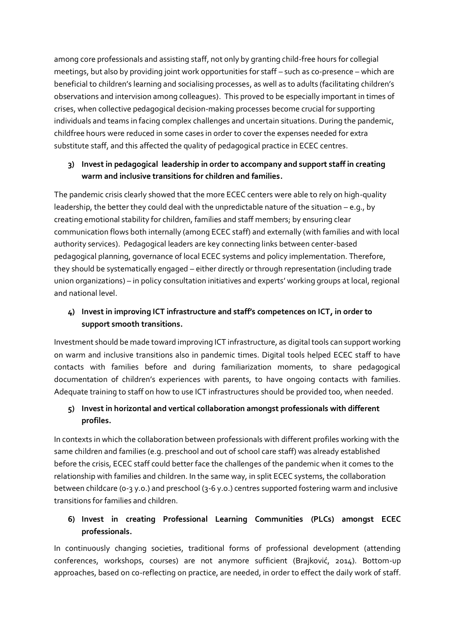among core professionals and assisting staff, not only by granting child-free hours for collegial meetings, but also by providing joint work opportunities for staff – such as co-presence – which are beneficial to children's learning and socialising processes, as well as to adults (facilitating children's observations and intervision among colleagues). This proved to be especially important in times of crises, when collective pedagogical decision-making processes become crucial for supporting individuals and teams in facing complex challenges and uncertain situations. During the pandemic, childfree hours were reduced in some cases in order to cover the expenses needed for extra substitute staff, and this affected the quality of pedagogical practice in ECEC centres.

### **3) Invest in pedagogical leadership in order to accompany and support staff in creating warm and inclusive transitions for children and families.**

The pandemic crisis clearly showed that the more ECEC centers were able to rely on high-quality leadership, the better they could deal with the unpredictable nature of the situation – e.g., by creating emotional stability for children, families and staff members; by ensuring clear communication flows both internally (among ECEC staff) and externally (with families and with local authority services). Pedagogical leaders are key connecting links between center-based pedagogical planning, governance of local ECEC systems and policy implementation. Therefore, they should be systematically engaged – either directly or through representation (including trade union organizations) – in policy consultation initiatives and experts' working groups at local, regional and national level.

### **4) Invest in improving ICT infrastructure and staff's competences on ICT, in order to support smooth transitions.**

Investment should be made toward improving ICT infrastructure, as digital tools can support working on warm and inclusive transitions also in pandemic times. Digital tools helped ECEC staff to have contacts with families before and during familiarization moments, to share pedagogical documentation of children's experiences with parents, to have ongoing contacts with families. Adequate training to staff on how to use ICT infrastructures should be provided too, when needed.

### **5) Invest in horizontal and vertical collaboration amongst professionals with different profiles.**

In contexts in which the collaboration between professionals with different profiles working with the same children and families (e.g. preschool and out of school care staff) was already established before the crisis, ECEC staff could better face the challenges of the pandemic when it comes to the relationship with families and children. In the same way, in split ECEC systems, the collaboration between childcare (0-3 y.o.) and preschool (3-6 y.o.) centres supported fostering warm and inclusive transitions for families and children.

#### **6) Invest in creating Professional Learning Communities (PLCs) amongst ECEC professionals.**

In continuously changing societies, traditional forms of professional development (attending conferences, workshops, courses) are not anymore sufficient (Brajković, 2014). Bottom-up approaches, based on co-reflecting on practice, are needed, in order to effect the daily work of staff.